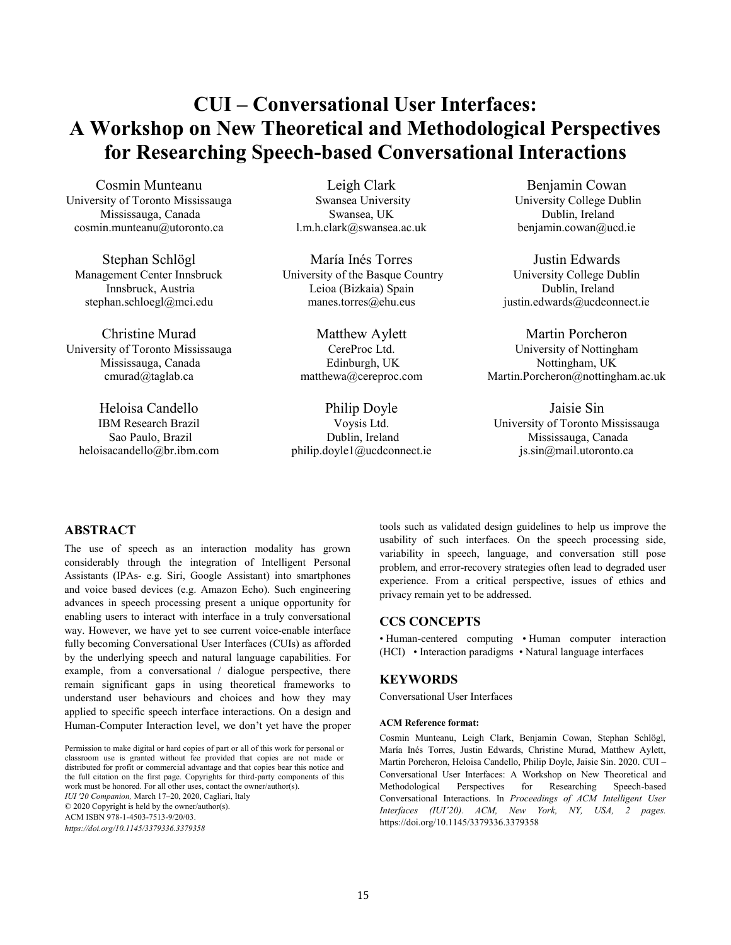# **CUI – Conversational User Interfaces: A Workshop on New Theoretical and Methodological Perspectives for Researching Speech-based Conversational Interactions**

Cosmin Munteanu University of Toronto Mississauga Mississauga, Canada cosmin.munteanu@utoronto.ca

Stephan Schlögl Management Center Innsbruck Innsbruck, Austria stephan.schloegl@mci.edu

Christine Murad University of Toronto Mississauga Mississauga, Canada cmurad@taglab.ca

Heloisa Candello IBM Research Brazil Sao Paulo, Brazil heloisacandello@br.ibm.com

Leigh Clark Swansea University Swansea, UK l.m.h.clark@swansea.ac.uk

María Inés Torres University of the Basque Country Leioa (Bizkaia) Spain manes.torres@ehu.eus

> Matthew Aylett CereProc Ltd. Edinburgh, UK matthewa@cereproc.com

Philip Doyle Voysis Ltd. Dublin, Ireland philip.doyle1@ucdconnect.ie

Benjamin Cowan University College Dublin Dublin, Ireland benjamin.cowan@ucd.ie

Justin Edwards University College Dublin Dublin, Ireland justin.edwards@ucdconnect.ie

Martin Porcheron University of Nottingham Nottingham, UK Martin.Porcheron@nottingham.ac.uk

Jaisie Sin University of Toronto Mississauga Mississauga, Canada js.sin@mail.utoronto.ca

## **ABSTRACT**

The use of speech as an interaction modality has grown considerably through the integration of Intelligent Personal Assistants (IPAs- e.g. Siri, Google Assistant) into smartphones and voice based devices (e.g. Amazon Echo). Such engineering advances in speech processing present a unique opportunity for enabling users to interact with interface in a truly conversational way. However, we have yet to see current voice-enable interface fully becoming Conversational User Interfaces (CUIs) as afforded by the underlying speech and natural language capabilities. For example, from a conversational / dialogue perspective, there remain significant gaps in using theoretical frameworks to understand user behaviours and choices and how they may applied to specific speech interface interactions. On a design and Human-Computer Interaction level, we don't yet have the proper

Permission to make digital or hard copies of part or all of this work for personal or classroom use is granted without fee provided that copies are not made or distributed for profit or commercial advantage and that copies bear this notice and the full citation on the first page. Copyrights for third-party components of this work must be honored. For all other uses, contact the owner/author(s). *IUI '20 Companion,* March 17–20, 2020, Cagliari, Italy © 2020 Copyright is held by the owner/author(s). ACM ISBN 978-1-4503-7513-9/20/03. *https://doi.org/10.1145/3379336.3379358*

tools such as validated design guidelines to help us improve the usability of such interfaces. On the speech processing side, variability in speech, language, and conversation still pose problem, and error-recovery strategies often lead to degraded user experience. From a critical perspective, issues of ethics and privacy remain yet to be addressed.

#### **CCS CONCEPTS**

• Human-centered computing • Human computer interaction (HCI) • Interaction paradigms • Natural language interfaces

## **KEYWORDS**

Conversational User Interfaces

#### **ACM Reference format:**

Cosmin Munteanu, Leigh Clark, Benjamin Cowan, Stephan Schlögl, María Inés Torres, Justin Edwards, Christine Murad, Matthew Aylett, Martin Porcheron, Heloisa Candello, Philip Doyle, Jaisie Sin. 2020. CUI – Conversational User Interfaces: A Workshop on New Theoretical and Methodological Perspectives for Researching Speech-based Conversational Interactions. In *Proceedings of ACM Intelligent User Interfaces (IUI'20). ACM, New York, NY, USA, 2 pages.* https://doi.org/10.1145/3379336.3379358